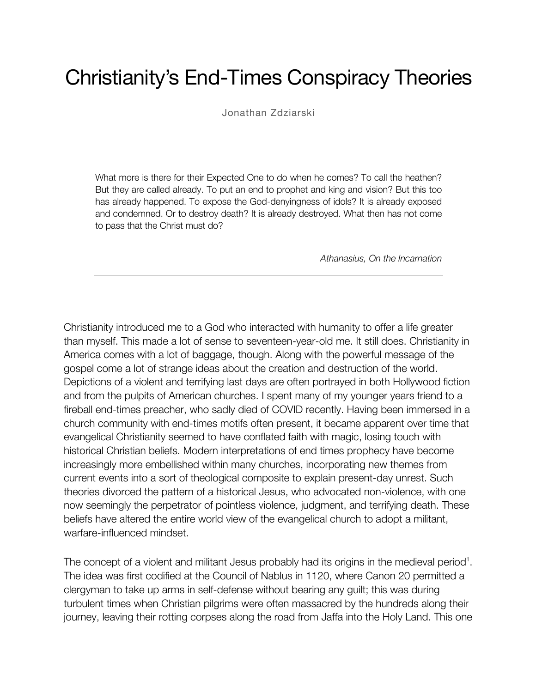# Christianity's End-Times Conspiracy Theories

Jonathan Zdziarski

What more is there for their Expected One to do when he comes? To call the heathen? But they are called already. To put an end to prophet and king and vision? But this too has already happened. To expose the God-denyingness of idols? It is already exposed and condemned. Or to destroy death? It is already destroyed. What then has not come to pass that the Christ must do?

*Athanasius, On the Incarnation*

Christianity introduced me to a God who interacted with humanity to offer a life greater than myself. This made a lot of sense to seventeen-year-old me. It still does. Christianity in America comes with a lot of baggage, though. Along with the powerful message of the gospel come a lot of strange ideas about the creation and destruction of the world. Depictions of a violent and terrifying last days are often portrayed in both Hollywood fiction and from the pulpits of American churches. I spent many of my younger years friend to a fireball end-times preacher, who sadly died of COVID recently. Having been immersed in a church community with end-times motifs often present, it became apparent over time that evangelical Christianity seemed to have conflated faith with magic, losing touch with historical Christian beliefs. Modern interpretations of end times prophecy have become increasingly more embellished within many churches, incorporating new themes from current events into a sort of theological composite to explain present-day unrest. Such theories divorced the pattern of a historical Jesus, who advocated non-violence, with one now seemingly the perpetrator of pointless violence, judgment, and terrifying death. These beliefs have altered the entire world view of the evangelical church to adopt a militant, warfare-influenced mindset.

The concept of a violent and militant Jesus probably had its origins in the medieval period<sup>1</sup>. The idea was first codified at the Council of Nablus in 1120, where Canon 20 permitted a clergyman to take up arms in self-defense without bearing any guilt; this was during turbulent times when Christian pilgrims were often massacred by the hundreds along their journey, leaving their rotting corpses along the road from Jaffa into the Holy Land. This one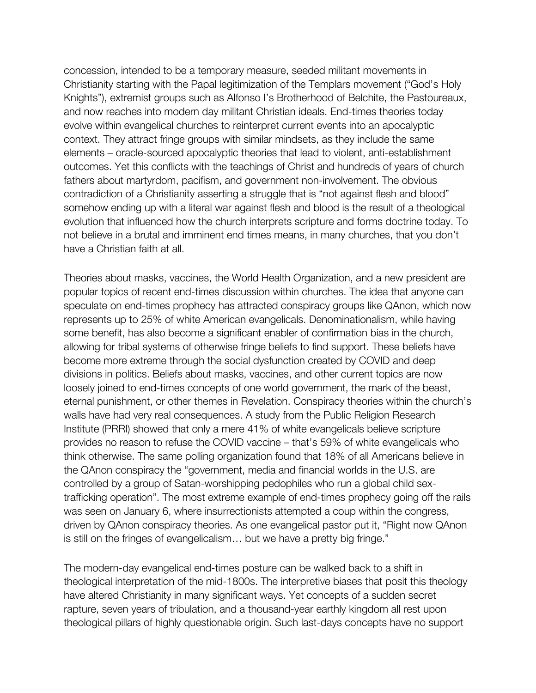concession, intended to be a temporary measure, seeded militant movements in Christianity starting with the Papal legitimization of the Templars movement ("God's Holy Knights"), extremist groups such as Alfonso I's Brotherhood of Belchite, the Pastoureaux, and now reaches into modern day militant Christian ideals. End-times theories today evolve within evangelical churches to reinterpret current events into an apocalyptic context. They attract fringe groups with similar mindsets, as they include the same elements – oracle-sourced apocalyptic theories that lead to violent, anti-establishment outcomes. Yet this conflicts with the teachings of Christ and hundreds of years of church fathers about martyrdom, pacifism, and government non-involvement. The obvious contradiction of a Christianity asserting a struggle that is "not against flesh and blood" somehow ending up with a literal war against flesh and blood is the result of a theological evolution that influenced how the church interprets scripture and forms doctrine today. To not believe in a brutal and imminent end times means, in many churches, that you don't have a Christian faith at all.

Theories about masks, vaccines, the World Health Organization, and a new president are popular topics of recent end-times discussion within churches. The idea that anyone can speculate on end-times prophecy has attracted conspiracy groups like QAnon, which now represents up to 25% of white American evangelicals. Denominationalism, while having some benefit, has also become a significant enabler of confirmation bias in the church, allowing for tribal systems of otherwise fringe beliefs to find support. These beliefs have become more extreme through the social dysfunction created by COVID and deep divisions in politics. Beliefs about masks, vaccines, and other current topics are now loosely joined to end-times concepts of one world government, the mark of the beast, eternal punishment, or other themes in Revelation. Conspiracy theories within the church's walls have had very real consequences. A study from the Public Religion Research Institute (PRRI) showed that only a mere 41% of white evangelicals believe scripture provides no reason to refuse the COVID vaccine – that's 59% of white evangelicals who think otherwise. The same polling organization found that 18% of all Americans believe in the QAnon conspiracy the "government, media and financial worlds in the U.S. are controlled by a group of Satan-worshipping pedophiles who run a global child sextrafficking operation". The most extreme example of end-times prophecy going off the rails was seen on January 6, where insurrectionists attempted a coup within the congress, driven by QAnon conspiracy theories. As one evangelical pastor put it, "Right now QAnon is still on the fringes of evangelicalism… but we have a pretty big fringe."

The modern-day evangelical end-times posture can be walked back to a shift in theological interpretation of the mid-1800s. The interpretive biases that posit this theology have altered Christianity in many significant ways. Yet concepts of a sudden secret rapture, seven years of tribulation, and a thousand-year earthly kingdom all rest upon theological pillars of highly questionable origin. Such last-days concepts have no support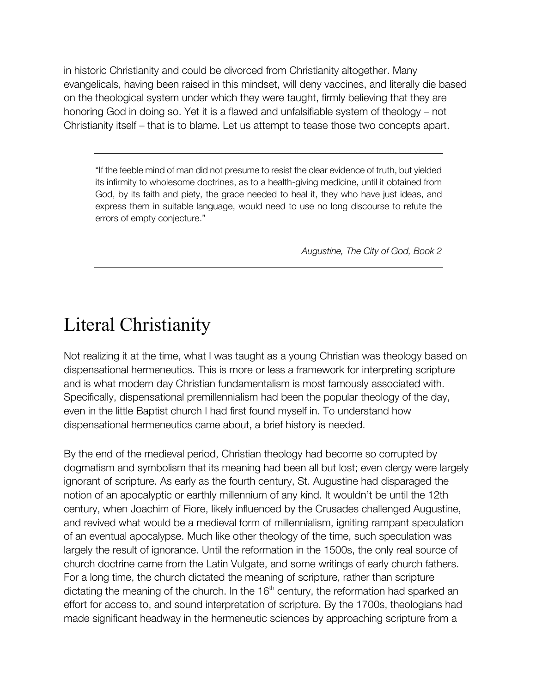in historic Christianity and could be divorced from Christianity altogether. Many evangelicals, having been raised in this mindset, will deny vaccines, and literally die based on the theological system under which they were taught, firmly believing that they are honoring God in doing so. Yet it is a flawed and unfalsifiable system of theology – not Christianity itself – that is to blame. Let us attempt to tease those two concepts apart.

"If the feeble mind of man did not presume to resist the clear evidence of truth, but yielded its infirmity to wholesome doctrines, as to a health-giving medicine, until it obtained from God, by its faith and piety, the grace needed to heal it, they who have just ideas, and express them in suitable language, would need to use no long discourse to refute the errors of empty conjecture."

*Augustine, The City of God, Book 2*

#### Literal Christianity

Not realizing it at the time, what I was taught as a young Christian was theology based on dispensational hermeneutics. This is more or less a framework for interpreting scripture and is what modern day Christian fundamentalism is most famously associated with. Specifically, dispensational premillennialism had been the popular theology of the day, even in the little Baptist church I had first found myself in. To understand how dispensational hermeneutics came about, a brief history is needed.

By the end of the medieval period, Christian theology had become so corrupted by dogmatism and symbolism that its meaning had been all but lost; even clergy were largely ignorant of scripture. As early as the fourth century, St. Augustine had disparaged the notion of an apocalyptic or earthly millennium of any kind. It wouldn't be until the 12th century, when Joachim of Fiore, likely influenced by the Crusades challenged Augustine, and revived what would be a medieval form of millennialism, igniting rampant speculation of an eventual apocalypse. Much like other theology of the time, such speculation was largely the result of ignorance. Until the reformation in the 1500s, the only real source of church doctrine came from the Latin Vulgate, and some writings of early church fathers. For a long time, the church dictated the meaning of scripture, rather than scripture dictating the meaning of the church. In the  $16<sup>th</sup>$  century, the reformation had sparked an effort for access to, and sound interpretation of scripture. By the 1700s, theologians had made significant headway in the hermeneutic sciences by approaching scripture from a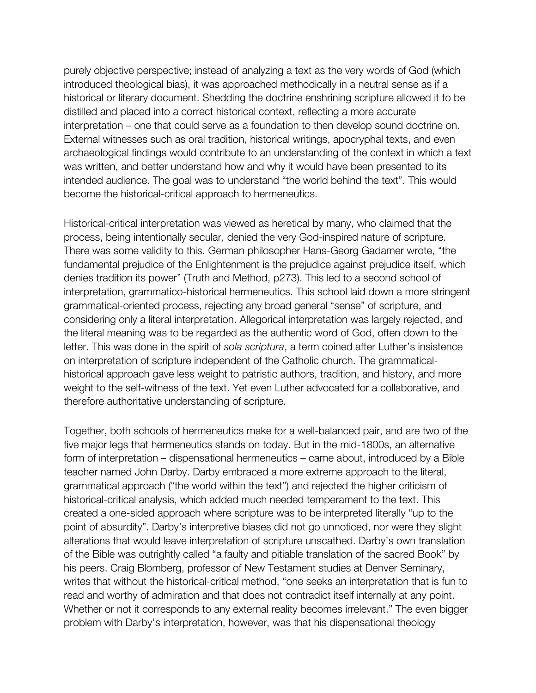purely objective perspective; instead of analyzing a text as the very words of God (which introduced theological bias), it was approached methodically in a neutral sense as if a historical or literary document. Shedding the doctrine enshrining scripture allowed it to be distilled and placed into a correct historical context, reflecting a more accurate interpretation – one that could serve as a foundation to then develop sound doctrine on. External witnesses such as oral tradition, historical writings, apocryphal texts, and even archaeological findings would contribute to an understanding of the context in which a text was written, and better understand how and why it would have been presented to its intended audience. The goal was to understand "the world behind the text". This would become the historical-critical approach to hermeneutics.

Historical-critical interpretation was viewed as heretical by many, who claimed that the process, being intentionally secular, denied the very God-inspired nature of scripture. There was some validity to this. German philosopher Hans-Georg Gadamer wrote, "the fundamental prejudice of the Enlightenment is the prejudice against prejudice itself, which denies tradition its power" (Truth and Method, p273). This led to a second school of interpretation, grammatico-historical hermeneutics. This school laid down a more stringent grammatical-oriented process, rejecting any broad general "sense" of scripture, and considering only a literal interpretation. Allegorical interpretation was largely rejected, and the literal meaning was to be regarded as the authentic word of God, often down to the letter. This was done in the spirit of *sola scriptura*, a term coined after Luther's insistence on interpretation of scripture independent of the Catholic church. The grammaticalhistorical approach gave less weight to patristic authors, tradition, and history, and more weight to the self-witness of the text. Yet even Luther advocated for a collaborative, and therefore authoritative understanding of scripture.

Together, both schools of hermeneutics make for a well-balanced pair, and are two of the five major legs that hermeneutics stands on today. But in the mid-1800s, an alternative form of interpretation – dispensational hermeneutics – came about, introduced by a Bible teacher named John Darby. Darby embraced a more extreme approach to the literal, grammatical approach ("the world within the text") and rejected the higher criticism of historical-critical analysis, which added much needed temperament to the text. This created a one-sided approach where scripture was to be interpreted literally "up to the point of absurdity". Darby's interpretive biases did not go unnoticed, nor were they slight alterations that would leave interpretation of scripture unscathed. Darby's own translation of the Bible was outrightly called "a faulty and pitiable translation of the sacred Book" by his peers. Craig Blomberg, professor of New Testament studies at Denver Seminary, writes that without the historical-critical method, "one seeks an interpretation that is fun to read and worthy of admiration and that does not contradict itself internally at any point. Whether or not it corresponds to any external reality becomes irrelevant." The even bigger problem with Darby's interpretation, however, was that his dispensational theology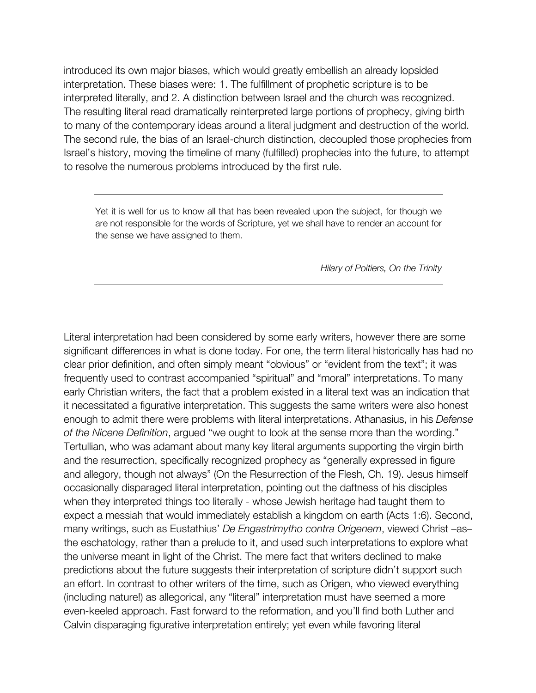introduced its own major biases, which would greatly embellish an already lopsided interpretation. These biases were: 1. The fulfillment of prophetic scripture is to be interpreted literally, and 2. A distinction between Israel and the church was recognized. The resulting literal read dramatically reinterpreted large portions of prophecy, giving birth to many of the contemporary ideas around a literal judgment and destruction of the world. The second rule, the bias of an Israel-church distinction, decoupled those prophecies from Israel's history, moving the timeline of many (fulfilled) prophecies into the future, to attempt to resolve the numerous problems introduced by the first rule.

Yet it is well for us to know all that has been revealed upon the subject, for though we are not responsible for the words of Scripture, yet we shall have to render an account for the sense we have assigned to them.

*Hilary of Poitiers, On the Trinity*

Literal interpretation had been considered by some early writers, however there are some significant differences in what is done today. For one, the term literal historically has had no clear prior definition, and often simply meant "obvious" or "evident from the text"; it was frequently used to contrast accompanied "spiritual" and "moral" interpretations. To many early Christian writers, the fact that a problem existed in a literal text was an indication that it necessitated a figurative interpretation. This suggests the same writers were also honest enough to admit there were problems with literal interpretations. Athanasius, in his *Defense of the Nicene Definition*, argued "we ought to look at the sense more than the wording." Tertullian, who was adamant about many key literal arguments supporting the virgin birth and the resurrection, specifically recognized prophecy as "generally expressed in figure and allegory, though not always" (On the Resurrection of the Flesh, Ch. 19). Jesus himself occasionally disparaged literal interpretation, pointing out the daftness of his disciples when they interpreted things too literally - whose Jewish heritage had taught them to expect a messiah that would immediately establish a kingdom on earth (Acts 1:6). Second, many writings, such as Eustathius' *De Engastrimytho contra Origenem*, viewed Christ –as– the eschatology, rather than a prelude to it, and used such interpretations to explore what the universe meant in light of the Christ. The mere fact that writers declined to make predictions about the future suggests their interpretation of scripture didn't support such an effort. In contrast to other writers of the time, such as Origen, who viewed everything (including nature!) as allegorical, any "literal" interpretation must have seemed a more even-keeled approach. Fast forward to the reformation, and you'll find both Luther and Calvin disparaging figurative interpretation entirely; yet even while favoring literal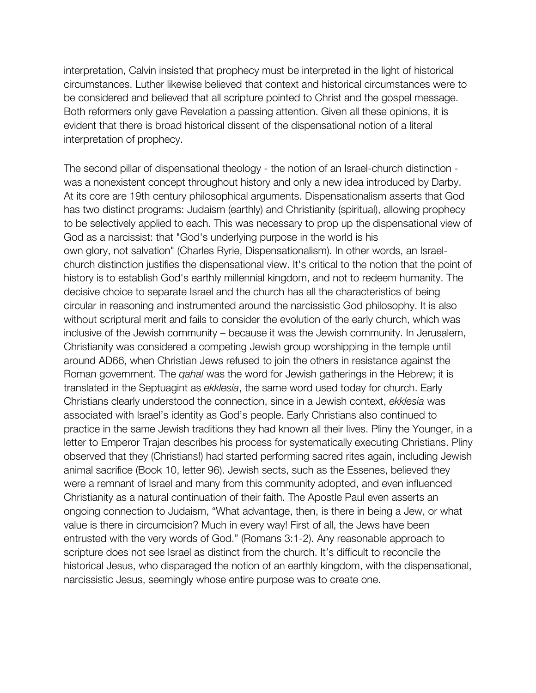interpretation, Calvin insisted that prophecy must be interpreted in the light of historical circumstances. Luther likewise believed that context and historical circumstances were to be considered and believed that all scripture pointed to Christ and the gospel message. Both reformers only gave Revelation a passing attention. Given all these opinions, it is evident that there is broad historical dissent of the dispensational notion of a literal interpretation of prophecy.

The second pillar of dispensational theology - the notion of an Israel-church distinction was a nonexistent concept throughout history and only a new idea introduced by Darby. At its core are 19th century philosophical arguments. Dispensationalism asserts that God has two distinct programs: Judaism (earthly) and Christianity (spiritual), allowing prophecy to be selectively applied to each. This was necessary to prop up the dispensational view of God as a narcissist: that "God's underlying purpose in the world is his own glory, not salvation" (Charles Ryrie, Dispensationalism). In other words, an Israelchurch distinction justifies the dispensational view. It's critical to the notion that the point of history is to establish God's earthly millennial kingdom, and not to redeem humanity. The decisive choice to separate Israel and the church has all the characteristics of being circular in reasoning and instrumented around the narcissistic God philosophy. It is also without scriptural merit and fails to consider the evolution of the early church, which was inclusive of the Jewish community – because it was the Jewish community. In Jerusalem, Christianity was considered a competing Jewish group worshipping in the temple until around AD66, when Christian Jews refused to join the others in resistance against the Roman government. The *qahal* was the word for Jewish gatherings in the Hebrew; it is translated in the Septuagint as *ekklesia*, the same word used today for church. Early Christians clearly understood the connection, since in a Jewish context, *ekklesia* was associated with Israel's identity as God's people. Early Christians also continued to practice in the same Jewish traditions they had known all their lives. Pliny the Younger, in a letter to Emperor Trajan describes his process for systematically executing Christians. Pliny observed that they (Christians!) had started performing sacred rites again, including Jewish animal sacrifice (Book 10, letter 96). Jewish sects, such as the Essenes, believed they were a remnant of Israel and many from this community adopted, and even influenced Christianity as a natural continuation of their faith. The Apostle Paul even asserts an ongoing connection to Judaism, "What advantage, then, is there in being a Jew, or what value is there in circumcision? Much in every way! First of all, the Jews have been entrusted with the very words of God." (Romans 3:1-2). Any reasonable approach to scripture does not see Israel as distinct from the church. It's difficult to reconcile the historical Jesus, who disparaged the notion of an earthly kingdom, with the dispensational, narcissistic Jesus, seemingly whose entire purpose was to create one.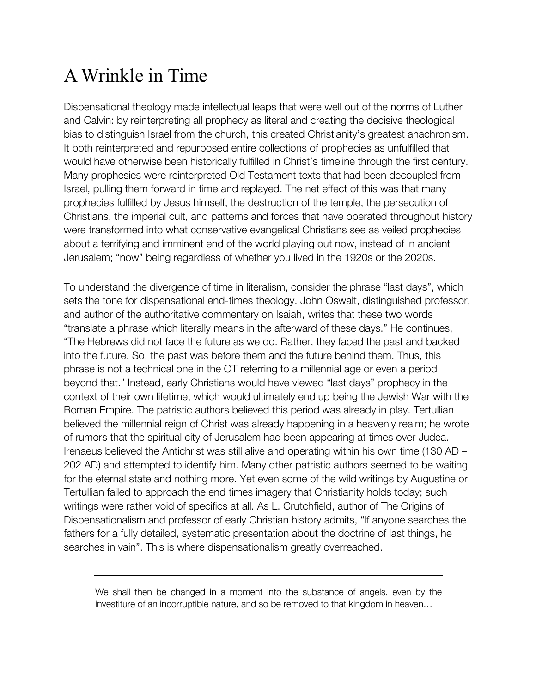## A Wrinkle in Time

Dispensational theology made intellectual leaps that were well out of the norms of Luther and Calvin: by reinterpreting all prophecy as literal and creating the decisive theological bias to distinguish Israel from the church, this created Christianity's greatest anachronism. It both reinterpreted and repurposed entire collections of prophecies as unfulfilled that would have otherwise been historically fulfilled in Christ's timeline through the first century. Many prophesies were reinterpreted Old Testament texts that had been decoupled from Israel, pulling them forward in time and replayed. The net effect of this was that many prophecies fulfilled by Jesus himself, the destruction of the temple, the persecution of Christians, the imperial cult, and patterns and forces that have operated throughout history were transformed into what conservative evangelical Christians see as veiled prophecies about a terrifying and imminent end of the world playing out now, instead of in ancient Jerusalem; "now" being regardless of whether you lived in the 1920s or the 2020s.

To understand the divergence of time in literalism, consider the phrase "last days", which sets the tone for dispensational end-times theology. John Oswalt, distinguished professor, and author of the authoritative commentary on Isaiah, writes that these two words "translate a phrase which literally means in the afterward of these days." He continues, "The Hebrews did not face the future as we do. Rather, they faced the past and backed into the future. So, the past was before them and the future behind them. Thus, this phrase is not a technical one in the OT referring to a millennial age or even a period beyond that." Instead, early Christians would have viewed "last days" prophecy in the context of their own lifetime, which would ultimately end up being the Jewish War with the Roman Empire. The patristic authors believed this period was already in play. Tertullian believed the millennial reign of Christ was already happening in a heavenly realm; he wrote of rumors that the spiritual city of Jerusalem had been appearing at times over Judea. Irenaeus believed the Antichrist was still alive and operating within his own time (130 AD – 202 AD) and attempted to identify him. Many other patristic authors seemed to be waiting for the eternal state and nothing more. Yet even some of the wild writings by Augustine or Tertullian failed to approach the end times imagery that Christianity holds today; such writings were rather void of specifics at all. As L. Crutchfield, author of The Origins of Dispensationalism and professor of early Christian history admits, "If anyone searches the fathers for a fully detailed, systematic presentation about the doctrine of last things, he searches in vain". This is where dispensationalism greatly overreached.

We shall then be changed in a moment into the substance of angels, even by the investiture of an incorruptible nature, and so be removed to that kingdom in heaven…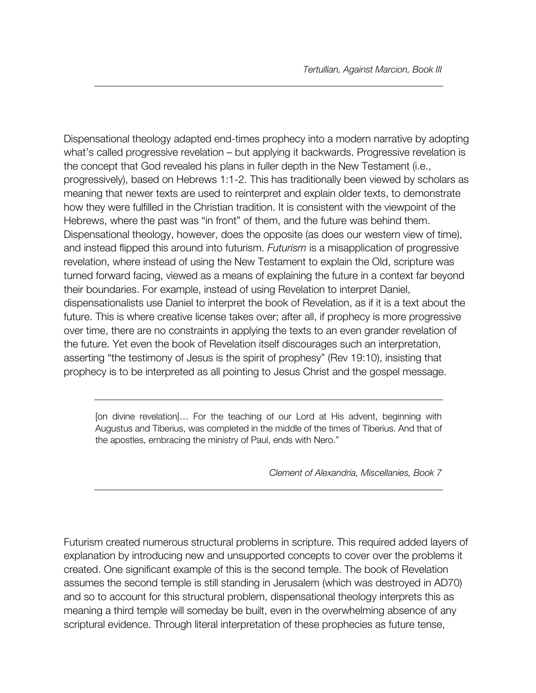Dispensational theology adapted end-times prophecy into a modern narrative by adopting what's called progressive revelation – but applying it backwards. Progressive revelation is the concept that God revealed his plans in fuller depth in the New Testament (i.e., progressively), based on Hebrews 1:1-2. This has traditionally been viewed by scholars as meaning that newer texts are used to reinterpret and explain older texts, to demonstrate how they were fulfilled in the Christian tradition. It is consistent with the viewpoint of the Hebrews, where the past was "in front" of them, and the future was behind them. Dispensational theology, however, does the opposite (as does our western view of time), and instead flipped this around into futurism. *Futurism* is a misapplication of progressive revelation, where instead of using the New Testament to explain the Old, scripture was turned forward facing, viewed as a means of explaining the future in a context far beyond their boundaries. For example, instead of using Revelation to interpret Daniel, dispensationalists use Daniel to interpret the book of Revelation, as if it is a text about the future. This is where creative license takes over; after all, if prophecy is more progressive over time, there are no constraints in applying the texts to an even grander revelation of the future. Yet even the book of Revelation itself discourages such an interpretation, asserting "the testimony of Jesus is the spirit of prophesy" (Rev 19:10), insisting that prophecy is to be interpreted as all pointing to Jesus Christ and the gospel message.

[on divine revelation]… For the teaching of our Lord at His advent, beginning with Augustus and Tiberius, was completed in the middle of the times of Tiberius. And that of the apostles, embracing the ministry of Paul, ends with Nero."

*Clement of Alexandria, Miscellanies, Book 7*

Futurism created numerous structural problems in scripture. This required added layers of explanation by introducing new and unsupported concepts to cover over the problems it created. One significant example of this is the second temple. The book of Revelation assumes the second temple is still standing in Jerusalem (which was destroyed in AD70) and so to account for this structural problem, dispensational theology interprets this as meaning a third temple will someday be built, even in the overwhelming absence of any scriptural evidence. Through literal interpretation of these prophecies as future tense,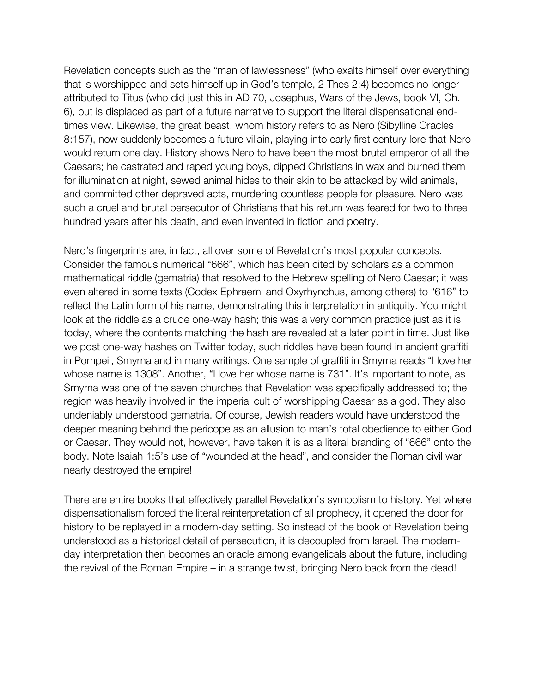Revelation concepts such as the "man of lawlessness" (who exalts himself over everything that is worshipped and sets himself up in God's temple, 2 Thes 2:4) becomes no longer attributed to Titus (who did just this in AD 70, Josephus, Wars of the Jews, book VI, Ch. 6), but is displaced as part of a future narrative to support the literal dispensational endtimes view. Likewise, the great beast, whom history refers to as Nero (Sibylline Oracles 8:157), now suddenly becomes a future villain, playing into early first century lore that Nero would return one day. History shows Nero to have been the most brutal emperor of all the Caesars; he castrated and raped young boys, dipped Christians in wax and burned them for illumination at night, sewed animal hides to their skin to be attacked by wild animals, and committed other depraved acts, murdering countless people for pleasure. Nero was such a cruel and brutal persecutor of Christians that his return was feared for two to three hundred years after his death, and even invented in fiction and poetry.

Nero's fingerprints are, in fact, all over some of Revelation's most popular concepts. Consider the famous numerical "666", which has been cited by scholars as a common mathematical riddle (gematria) that resolved to the Hebrew spelling of Nero Caesar; it was even altered in some texts (Codex Ephraemi and Oxyrhynchus, among others) to "616" to reflect the Latin form of his name, demonstrating this interpretation in antiquity. You might look at the riddle as a crude one-way hash; this was a very common practice just as it is today, where the contents matching the hash are revealed at a later point in time. Just like we post one-way hashes on Twitter today, such riddles have been found in ancient graffiti in Pompeii, Smyrna and in many writings. One sample of graffiti in Smyrna reads "I love her whose name is 1308". Another, "I love her whose name is 731". It's important to note, as Smyrna was one of the seven churches that Revelation was specifically addressed to; the region was heavily involved in the imperial cult of worshipping Caesar as a god. They also undeniably understood gematria. Of course, Jewish readers would have understood the deeper meaning behind the pericope as an allusion to man's total obedience to either God or Caesar. They would not, however, have taken it is as a literal branding of "666" onto the body. Note Isaiah 1:5's use of "wounded at the head", and consider the Roman civil war nearly destroyed the empire!

There are entire books that effectively parallel Revelation's symbolism to history. Yet where dispensationalism forced the literal reinterpretation of all prophecy, it opened the door for history to be replayed in a modern-day setting. So instead of the book of Revelation being understood as a historical detail of persecution, it is decoupled from Israel. The modernday interpretation then becomes an oracle among evangelicals about the future, including the revival of the Roman Empire – in a strange twist, bringing Nero back from the dead!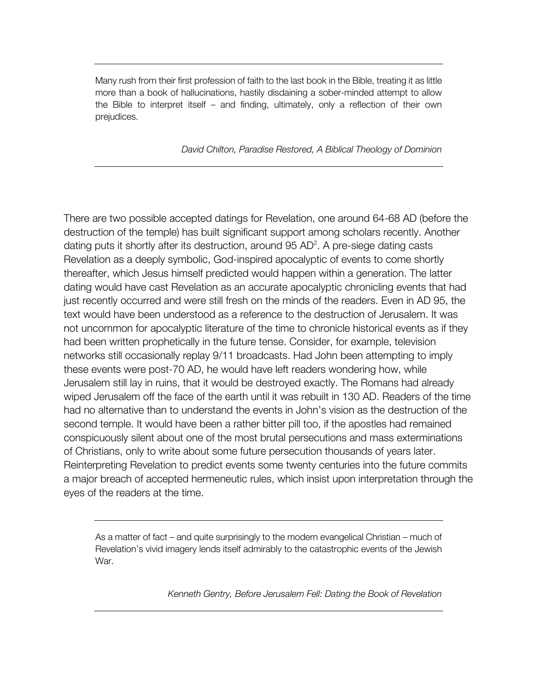Many rush from their first profession of faith to the last book in the Bible, treating it as little more than a book of hallucinations, hastily disdaining a sober-minded attempt to allow the Bible to interpret itself – and finding, ultimately, only a reflection of their own prejudices.

*David Chilton, Paradise Restored, A Biblical Theology of Dominion*

There are two possible accepted datings for Revelation, one around 64-68 AD (before the destruction of the temple) has built significant support among scholars recently. Another dating puts it shortly after its destruction, around  $95$  AD<sup>2</sup>. A pre-siege dating casts Revelation as a deeply symbolic, God-inspired apocalyptic of events to come shortly thereafter, which Jesus himself predicted would happen within a generation. The latter dating would have cast Revelation as an accurate apocalyptic chronicling events that had just recently occurred and were still fresh on the minds of the readers. Even in AD 95, the text would have been understood as a reference to the destruction of Jerusalem. It was not uncommon for apocalyptic literature of the time to chronicle historical events as if they had been written prophetically in the future tense. Consider, for example, television networks still occasionally replay 9/11 broadcasts. Had John been attempting to imply these events were post-70 AD, he would have left readers wondering how, while Jerusalem still lay in ruins, that it would be destroyed exactly. The Romans had already wiped Jerusalem off the face of the earth until it was rebuilt in 130 AD. Readers of the time had no alternative than to understand the events in John's vision as the destruction of the second temple. It would have been a rather bitter pill too, if the apostles had remained conspicuously silent about one of the most brutal persecutions and mass exterminations of Christians, only to write about some future persecution thousands of years later. Reinterpreting Revelation to predict events some twenty centuries into the future commits a major breach of accepted hermeneutic rules, which insist upon interpretation through the eyes of the readers at the time.

As a matter of fact – and quite surprisingly to the modern evangelical Christian – much of Revelation's vivid imagery lends itself admirably to the catastrophic events of the Jewish War.

*Kenneth Gentry, Before Jerusalem Fell: Dating the Book of Revelation*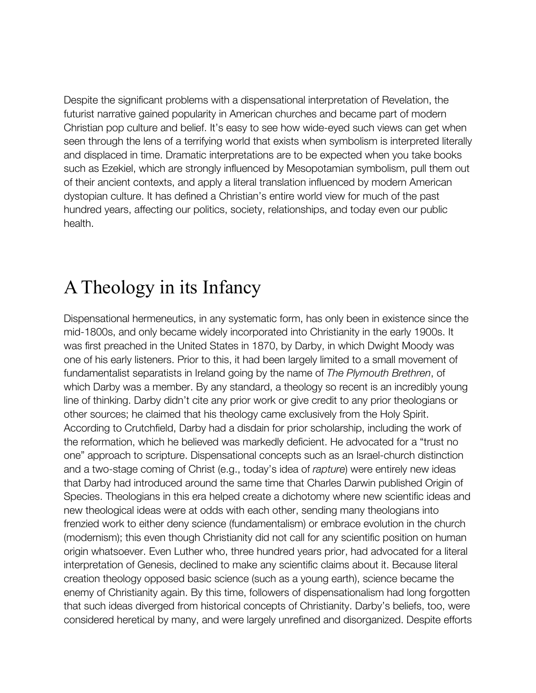Despite the significant problems with a dispensational interpretation of Revelation, the futurist narrative gained popularity in American churches and became part of modern Christian pop culture and belief. It's easy to see how wide-eyed such views can get when seen through the lens of a terrifying world that exists when symbolism is interpreted literally and displaced in time. Dramatic interpretations are to be expected when you take books such as Ezekiel, which are strongly influenced by Mesopotamian symbolism, pull them out of their ancient contexts, and apply a literal translation influenced by modern American dystopian culture. It has defined a Christian's entire world view for much of the past hundred years, affecting our politics, society, relationships, and today even our public health.

## A Theology in its Infancy

Dispensational hermeneutics, in any systematic form, has only been in existence since the mid-1800s, and only became widely incorporated into Christianity in the early 1900s. It was first preached in the United States in 1870, by Darby, in which Dwight Moody was one of his early listeners. Prior to this, it had been largely limited to a small movement of fundamentalist separatists in Ireland going by the name of *The Plymouth Brethren*, of which Darby was a member. By any standard, a theology so recent is an incredibly young line of thinking. Darby didn't cite any prior work or give credit to any prior theologians or other sources; he claimed that his theology came exclusively from the Holy Spirit. According to Crutchfield, Darby had a disdain for prior scholarship, including the work of the reformation, which he believed was markedly deficient. He advocated for a "trust no one" approach to scripture. Dispensational concepts such as an Israel-church distinction and a two-stage coming of Christ (e.g., today's idea of *rapture*) were entirely new ideas that Darby had introduced around the same time that Charles Darwin published Origin of Species. Theologians in this era helped create a dichotomy where new scientific ideas and new theological ideas were at odds with each other, sending many theologians into frenzied work to either deny science (fundamentalism) or embrace evolution in the church (modernism); this even though Christianity did not call for any scientific position on human origin whatsoever. Even Luther who, three hundred years prior, had advocated for a literal interpretation of Genesis, declined to make any scientific claims about it. Because literal creation theology opposed basic science (such as a young earth), science became the enemy of Christianity again. By this time, followers of dispensationalism had long forgotten that such ideas diverged from historical concepts of Christianity. Darby's beliefs, too, were considered heretical by many, and were largely unrefined and disorganized. Despite efforts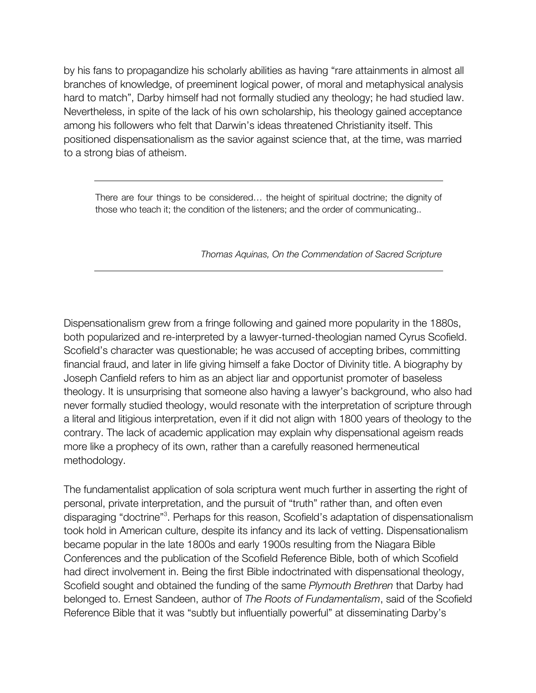by his fans to propagandize his scholarly abilities as having "rare attainments in almost all branches of knowledge, of preeminent logical power, of moral and metaphysical analysis hard to match", Darby himself had not formally studied any theology; he had studied law. Nevertheless, in spite of the lack of his own scholarship, his theology gained acceptance among his followers who felt that Darwin's ideas threatened Christianity itself. This positioned dispensationalism as the savior against science that, at the time, was married to a strong bias of atheism.

There are four things to be considered… the height of spiritual doctrine; the dignity of those who teach it; the condition of the listeners; and the order of communicating..

*Thomas Aquinas, On the Commendation of Sacred Scripture*

Dispensationalism grew from a fringe following and gained more popularity in the 1880s, both popularized and re-interpreted by a lawyer-turned-theologian named Cyrus Scofield. Scofield's character was questionable; he was accused of accepting bribes, committing financial fraud, and later in life giving himself a fake Doctor of Divinity title. A biography by Joseph Canfield refers to him as an abject liar and opportunist promoter of baseless theology. It is unsurprising that someone also having a lawyer's background, who also had never formally studied theology, would resonate with the interpretation of scripture through a literal and litigious interpretation, even if it did not align with 1800 years of theology to the contrary. The lack of academic application may explain why dispensational ageism reads more like a prophecy of its own, rather than a carefully reasoned hermeneutical methodology.

The fundamentalist application of sola scriptura went much further in asserting the right of personal, private interpretation, and the pursuit of "truth" rather than, and often even disparaging "doctrine"<sup>3</sup>. Perhaps for this reason, Scofield's adaptation of dispensationalism took hold in American culture, despite its infancy and its lack of vetting. Dispensationalism became popular in the late 1800s and early 1900s resulting from the Niagara Bible Conferences and the publication of the Scofield Reference Bible, both of which Scofield had direct involvement in. Being the first Bible indoctrinated with dispensational theology, Scofield sought and obtained the funding of the same *Plymouth Brethren* that Darby had belonged to. Ernest Sandeen, author of *The Roots of Fundamentalism*, said of the Scofield Reference Bible that it was "subtly but influentially powerful" at disseminating Darby's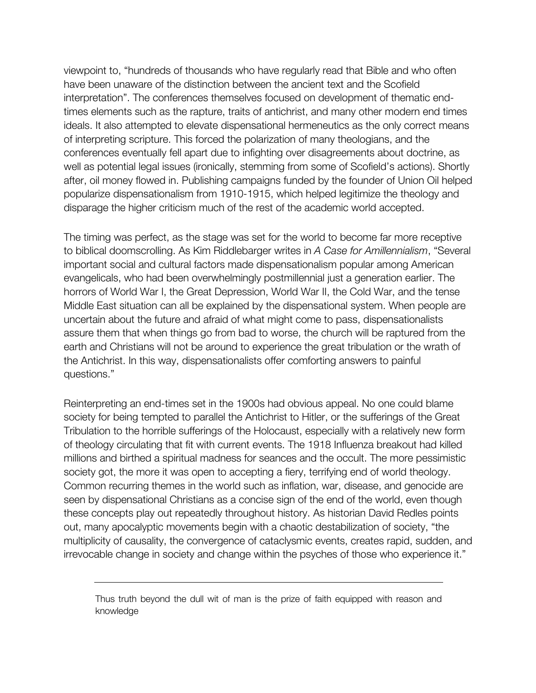viewpoint to, "hundreds of thousands who have regularly read that Bible and who often have been unaware of the distinction between the ancient text and the Scofield interpretation". The conferences themselves focused on development of thematic endtimes elements such as the rapture, traits of antichrist, and many other modern end times ideals. It also attempted to elevate dispensational hermeneutics as the only correct means of interpreting scripture. This forced the polarization of many theologians, and the conferences eventually fell apart due to infighting over disagreements about doctrine, as well as potential legal issues (ironically, stemming from some of Scofield's actions). Shortly after, oil money flowed in. Publishing campaigns funded by the founder of Union Oil helped popularize dispensationalism from 1910-1915, which helped legitimize the theology and disparage the higher criticism much of the rest of the academic world accepted.

The timing was perfect, as the stage was set for the world to become far more receptive to biblical doomscrolling. As Kim Riddlebarger writes in *A Case for Amillennialism*, "Several important social and cultural factors made dispensationalism popular among American evangelicals, who had been overwhelmingly postmillennial just a generation earlier. The horrors of World War I, the Great Depression, World War II, the Cold War, and the tense Middle East situation can all be explained by the dispensational system. When people are uncertain about the future and afraid of what might come to pass, dispensationalists assure them that when things go from bad to worse, the church will be raptured from the earth and Christians will not be around to experience the great tribulation or the wrath of the Antichrist. In this way, dispensationalists offer comforting answers to painful questions."

Reinterpreting an end-times set in the 1900s had obvious appeal. No one could blame society for being tempted to parallel the Antichrist to Hitler, or the sufferings of the Great Tribulation to the horrible sufferings of the Holocaust, especially with a relatively new form of theology circulating that fit with current events. The 1918 Influenza breakout had killed millions and birthed a spiritual madness for seances and the occult. The more pessimistic society got, the more it was open to accepting a fiery, terrifying end of world theology. Common recurring themes in the world such as inflation, war, disease, and genocide are seen by dispensational Christians as a concise sign of the end of the world, even though these concepts play out repeatedly throughout history. As historian David Redles points out, many apocalyptic movements begin with a chaotic destabilization of society, "the multiplicity of causality, the convergence of cataclysmic events, creates rapid, sudden, and irrevocable change in society and change within the psyches of those who experience it."

Thus truth beyond the dull wit of man is the prize of faith equipped with reason and knowledge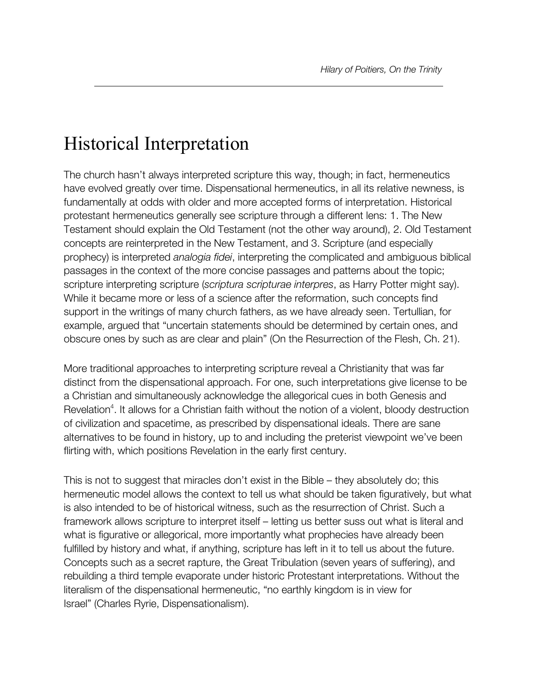## Historical Interpretation

The church hasn't always interpreted scripture this way, though; in fact, hermeneutics have evolved greatly over time. Dispensational hermeneutics, in all its relative newness, is fundamentally at odds with older and more accepted forms of interpretation. Historical protestant hermeneutics generally see scripture through a different lens: 1. The New Testament should explain the Old Testament (not the other way around), 2. Old Testament concepts are reinterpreted in the New Testament, and 3. Scripture (and especially prophecy) is interpreted *analogia fidei*, interpreting the complicated and ambiguous biblical passages in the context of the more concise passages and patterns about the topic; scripture interpreting scripture (*scriptura scripturae interpres*, as Harry Potter might say). While it became more or less of a science after the reformation, such concepts find support in the writings of many church fathers, as we have already seen. Tertullian, for example, argued that "uncertain statements should be determined by certain ones, and obscure ones by such as are clear and plain" (On the Resurrection of the Flesh, Ch. 21).

More traditional approaches to interpreting scripture reveal a Christianity that was far distinct from the dispensational approach. For one, such interpretations give license to be a Christian and simultaneously acknowledge the allegorical cues in both Genesis and Revelation<sup>4</sup>. It allows for a Christian faith without the notion of a violent, bloody destruction of civilization and spacetime, as prescribed by dispensational ideals. There are sane alternatives to be found in history, up to and including the preterist viewpoint we've been flirting with, which positions Revelation in the early first century.

This is not to suggest that miracles don't exist in the Bible – they absolutely do; this hermeneutic model allows the context to tell us what should be taken figuratively, but what is also intended to be of historical witness, such as the resurrection of Christ. Such a framework allows scripture to interpret itself – letting us better suss out what is literal and what is figurative or allegorical, more importantly what prophecies have already been fulfilled by history and what, if anything, scripture has left in it to tell us about the future. Concepts such as a secret rapture, the Great Tribulation (seven years of suffering), and rebuilding a third temple evaporate under historic Protestant interpretations. Without the literalism of the dispensational hermeneutic, "no earthly kingdom is in view for Israel" (Charles Ryrie, Dispensationalism).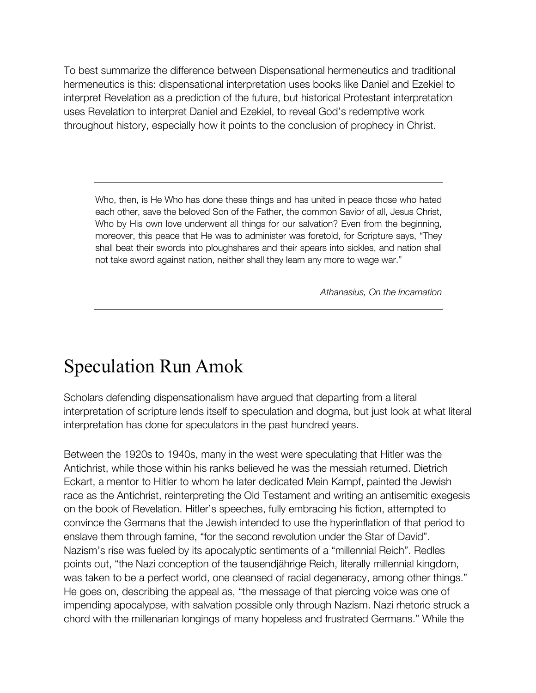To best summarize the difference between Dispensational hermeneutics and traditional hermeneutics is this: dispensational interpretation uses books like Daniel and Ezekiel to interpret Revelation as a prediction of the future, but historical Protestant interpretation uses Revelation to interpret Daniel and Ezekiel, to reveal God's redemptive work throughout history, especially how it points to the conclusion of prophecy in Christ.

Who, then, is He Who has done these things and has united in peace those who hated each other, save the beloved Son of the Father, the common Savior of all, Jesus Christ, Who by His own love underwent all things for our salvation? Even from the beginning, moreover, this peace that He was to administer was foretold, for Scripture says, "They shall beat their swords into ploughshares and their spears into sickles, and nation shall not take sword against nation, neither shall they learn any more to wage war."

*Athanasius, On the Incarnation*

### Speculation Run Amok

Scholars defending dispensationalism have argued that departing from a literal interpretation of scripture lends itself to speculation and dogma, but just look at what literal interpretation has done for speculators in the past hundred years.

Between the 1920s to 1940s, many in the west were speculating that Hitler was the Antichrist, while those within his ranks believed he was the messiah returned. Dietrich Eckart, a mentor to Hitler to whom he later dedicated Mein Kampf, painted the Jewish race as the Antichrist, reinterpreting the Old Testament and writing an antisemitic exegesis on the book of Revelation. Hitler's speeches, fully embracing his fiction, attempted to convince the Germans that the Jewish intended to use the hyperinflation of that period to enslave them through famine, "for the second revolution under the Star of David". Nazism's rise was fueled by its apocalyptic sentiments of a "millennial Reich". Redles points out, "the Nazi conception of the tausendjährige Reich, literally millennial kingdom, was taken to be a perfect world, one cleansed of racial degeneracy, among other things." He goes on, describing the appeal as, "the message of that piercing voice was one of impending apocalypse, with salvation possible only through Nazism. Nazi rhetoric struck a chord with the millenarian longings of many hopeless and frustrated Germans." While the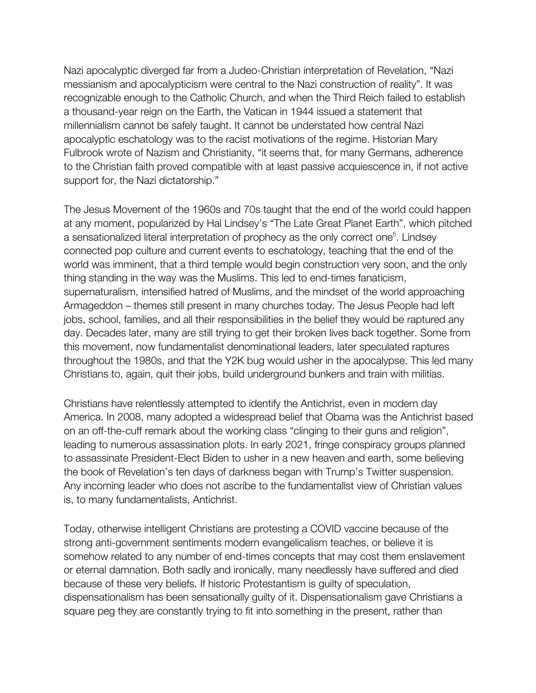Nazi apocalyptic diverged far from a Judeo-Christian interpretation of Revelation, "Nazi messianism and apocalypticism were central to the Nazi construction of reality". It was recognizable enough to the Catholic Church, and when the Third Reich failed to establish a thousand-year reign on the Earth, the Vatican in 1944 issued a statement that millennialism cannot be safely taught. It cannot be understated how central Nazi apocalyptic eschatology was to the racist motivations of the regime. Historian Mary Fulbrook wrote of Nazism and Christianity, "it seems that, for many Germans, adherence to the Christian faith proved compatible with at least passive acquiescence in, if not active support for, the Nazi dictatorship."

The Jesus Movement of the 1960s and 70s taught that the end of the world could happen at any moment, popularized by Hal Lindsey's "The Late Great Planet Earth", which pitched a sensationalized literal interpretation of prophecy as the only correct one<sup>5</sup>. Lindsey connected pop culture and current events to eschatology, teaching that the end of the world was imminent, that a third temple would begin construction very soon, and the only thing standing in the way was the Muslims. This led to end-times fanaticism, supernaturalism, intensified hatred of Muslims, and the mindset of the world approaching Armageddon – themes still present in many churches today. The Jesus People had left jobs, school, families, and all their responsibilities in the belief they would be raptured any day. Decades later, many are still trying to get their broken lives back together. Some from this movement, now fundamentalist denominational leaders, later speculated raptures throughout the 1980s, and that the Y2K bug would usher in the apocalypse. This led many Christians to, again, quit their jobs, build underground bunkers and train with militias.

Christians have relentlessly attempted to identify the Antichrist, even in modern day America. In 2008, many adopted a widespread belief that Obama was the Antichrist based on an off-the-cuff remark about the working class "clinging to their guns and religion", leading to numerous assassination plots. In early 2021, fringe conspiracy groups planned to assassinate President-Elect Biden to usher in a new heaven and earth, some believing the book of Revelation's ten days of darkness began with Trump's Twitter suspension. Any incoming leader who does not ascribe to the fundamentalist view of Christian values is, to many fundamentalists, Antichrist.

Today, otherwise intelligent Christians are protesting a COVID vaccine because of the strong anti-government sentiments modern evangelicalism teaches, or believe it is somehow related to any number of end-times concepts that may cost them enslavement or eternal damnation. Both sadly and ironically, many needlessly have suffered and died because of these very beliefs. If historic Protestantism is guilty of speculation, dispensationalism has been sensationally guilty of it. Dispensationalism gave Christians a square peg they are constantly trying to fit into something in the present, rather than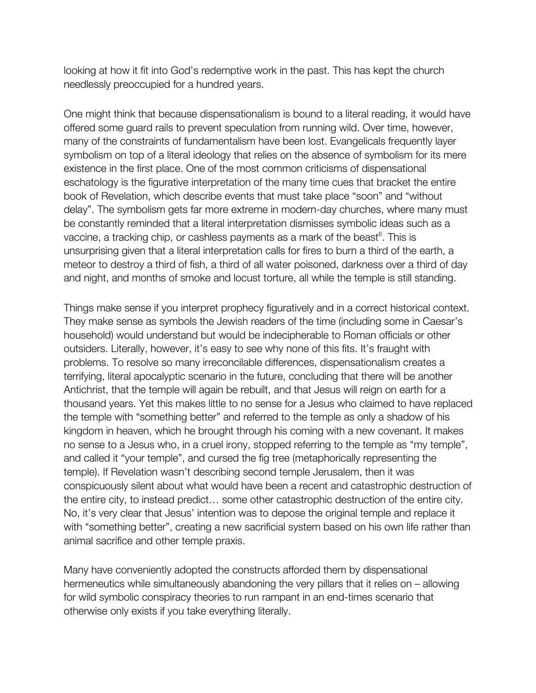looking at how it fit into God's redemptive work in the past. This has kept the church needlessly preoccupied for a hundred years.

One might think that because dispensationalism is bound to a literal reading, it would have offered some guard rails to prevent speculation from running wild. Over time, however, many of the constraints of fundamentalism have been lost. Evangelicals frequently layer symbolism on top of a literal ideology that relies on the absence of symbolism for its mere existence in the first place. One of the most common criticisms of dispensational eschatology is the figurative interpretation of the many time cues that bracket the entire book of Revelation, which describe events that must take place "soon" and "without delay". The symbolism gets far more extreme in modern-day churches, where many must be constantly reminded that a literal interpretation dismisses symbolic ideas such as a vaccine, a tracking chip, or cashless payments as a mark of the beast<sup>6</sup>. This is unsurprising given that a literal interpretation calls for fires to burn a third of the earth, a meteor to destroy a third of fish, a third of all water poisoned, darkness over a third of day and night, and months of smoke and locust torture, all while the temple is still standing.

Things make sense if you interpret prophecy figuratively and in a correct historical context. They make sense as symbols the Jewish readers of the time (including some in Caesar's household) would understand but would be indecipherable to Roman officials or other outsiders. Literally, however, it's easy to see why none of this fits. It's fraught with problems. To resolve so many irreconcilable differences, dispensationalism creates a terrifying, literal apocalyptic scenario in the future, concluding that there will be another Antichrist, that the temple will again be rebuilt, and that Jesus will reign on earth for a thousand years. Yet this makes little to no sense for a Jesus who claimed to have replaced the temple with "something better" and referred to the temple as only a shadow of his kingdom in heaven, which he brought through his coming with a new covenant. It makes no sense to a Jesus who, in a cruel irony, stopped referring to the temple as "my temple", and called it "your temple", and cursed the fig tree (metaphorically representing the temple). If Revelation wasn't describing second temple Jerusalem, then it was conspicuously silent about what would have been a recent and catastrophic destruction of the entire city, to instead predict… some other catastrophic destruction of the entire city. No, it's very clear that Jesus' intention was to depose the original temple and replace it with "something better", creating a new sacrificial system based on his own life rather than animal sacrifice and other temple praxis.

Many have conveniently adopted the constructs afforded them by dispensational hermeneutics while simultaneously abandoning the very pillars that it relies on – allowing for wild symbolic conspiracy theories to run rampant in an end-times scenario that otherwise only exists if you take everything literally.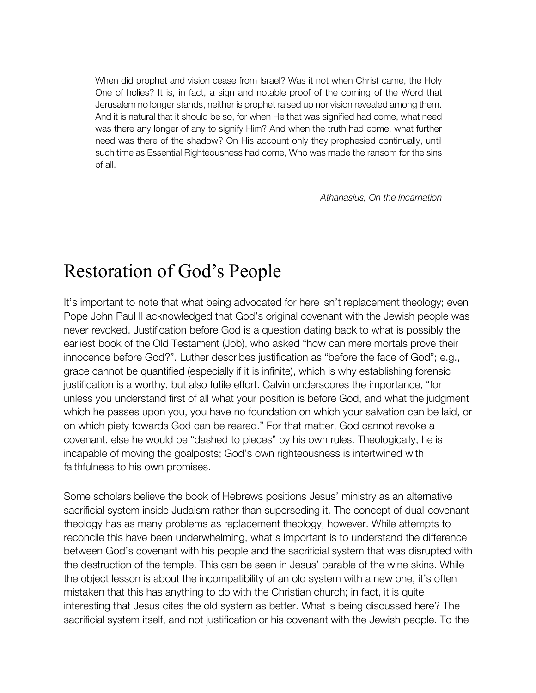When did prophet and vision cease from Israel? Was it not when Christ came, the Holy One of holies? It is, in fact, a sign and notable proof of the coming of the Word that Jerusalem no longer stands, neither is prophet raised up nor vision revealed among them. And it is natural that it should be so, for when He that was signified had come, what need was there any longer of any to signify Him? And when the truth had come, what further need was there of the shadow? On His account only they prophesied continually, until such time as Essential Righteousness had come, Who was made the ransom for the sins of all.

*Athanasius, On the Incarnation*

## Restoration of God's People

It's important to note that what being advocated for here isn't replacement theology; even Pope John Paul II acknowledged that God's original covenant with the Jewish people was never revoked. Justification before God is a question dating back to what is possibly the earliest book of the Old Testament (Job), who asked "how can mere mortals prove their innocence before God?". Luther describes justification as "before the face of God"; e.g., grace cannot be quantified (especially if it is infinite), which is why establishing forensic justification is a worthy, but also futile effort. Calvin underscores the importance, "for unless you understand first of all what your position is before God, and what the judgment which he passes upon you, you have no foundation on which your salvation can be laid, or on which piety towards God can be reared." For that matter, God cannot revoke a covenant, else he would be "dashed to pieces" by his own rules. Theologically, he is incapable of moving the goalposts; God's own righteousness is intertwined with faithfulness to his own promises.

Some scholars believe the book of Hebrews positions Jesus' ministry as an alternative sacrificial system inside Judaism rather than superseding it. The concept of dual-covenant theology has as many problems as replacement theology, however. While attempts to reconcile this have been underwhelming, what's important is to understand the difference between God's covenant with his people and the sacrificial system that was disrupted with the destruction of the temple. This can be seen in Jesus' parable of the wine skins. While the object lesson is about the incompatibility of an old system with a new one, it's often mistaken that this has anything to do with the Christian church; in fact, it is quite interesting that Jesus cites the old system as better. What is being discussed here? The sacrificial system itself, and not justification or his covenant with the Jewish people. To the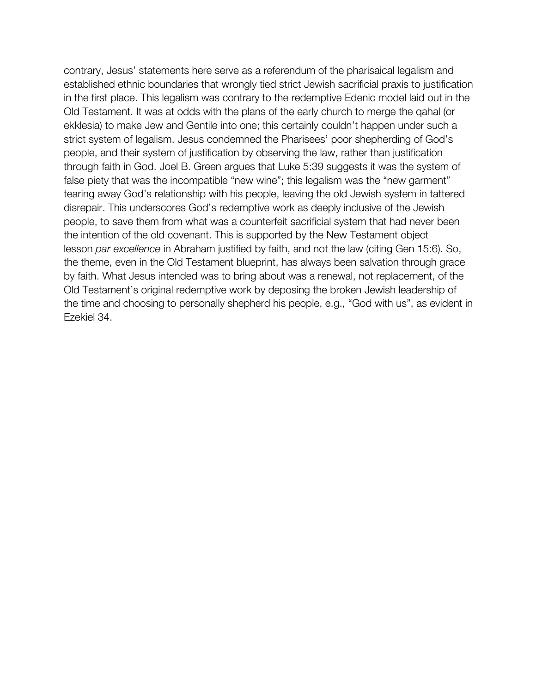contrary, Jesus' statements here serve as a referendum of the pharisaical legalism and established ethnic boundaries that wrongly tied strict Jewish sacrificial praxis to justification in the first place. This legalism was contrary to the redemptive Edenic model laid out in the Old Testament. It was at odds with the plans of the early church to merge the qahal (or ekklesia) to make Jew and Gentile into one; this certainly couldn't happen under such a strict system of legalism. Jesus condemned the Pharisees' poor shepherding of God's people, and their system of justification by observing the law, rather than justification through faith in God. Joel B. Green argues that Luke 5:39 suggests it was the system of false piety that was the incompatible "new wine"; this legalism was the "new garment" tearing away God's relationship with his people, leaving the old Jewish system in tattered disrepair. This underscores God's redemptive work as deeply inclusive of the Jewish people, to save them from what was a counterfeit sacrificial system that had never been the intention of the old covenant. This is supported by the New Testament object lesson *par excellence* in Abraham justified by faith, and not the law (citing Gen 15:6). So, the theme, even in the Old Testament blueprint, has always been salvation through grace by faith. What Jesus intended was to bring about was a renewal, not replacement, of the Old Testament's original redemptive work by deposing the broken Jewish leadership of the time and choosing to personally shepherd his people, e.g., "God with us", as evident in Ezekiel 34.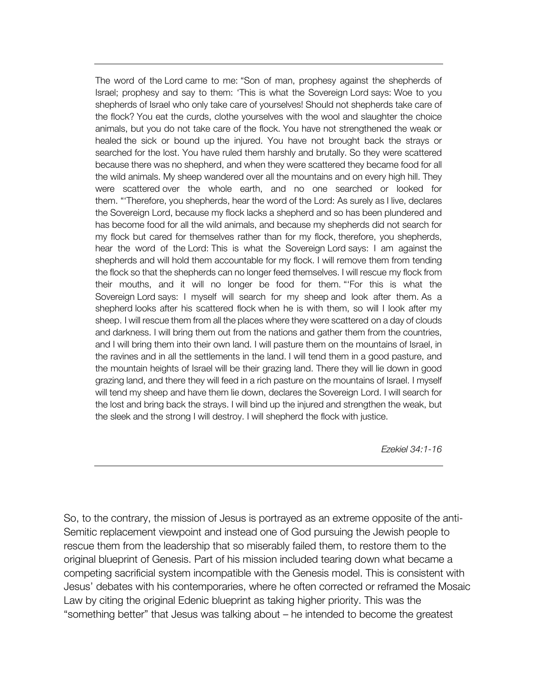The word of the Lord came to me: "Son of man, prophesy against the shepherds of Israel; prophesy and say to them: 'This is what the Sovereign Lord says: Woe to you shepherds of Israel who only take care of yourselves! Should not shepherds take care of the flock? You eat the curds, clothe yourselves with the wool and slaughter the choice animals, but you do not take care of the flock. You have not strengthened the weak or healed the sick or bound up the injured. You have not brought back the strays or searched for the lost. You have ruled them harshly and brutally. So they were scattered because there was no shepherd, and when they were scattered they became food for all the wild animals. My sheep wandered over all the mountains and on every high hill. They were scattered over the whole earth, and no one searched or looked for them. "'Therefore, you shepherds, hear the word of the Lord: As surely as I live, declares the Sovereign Lord, because my flock lacks a shepherd and so has been plundered and has become food for all the wild animals, and because my shepherds did not search for my flock but cared for themselves rather than for my flock, therefore, you shepherds, hear the word of the Lord: This is what the Sovereign Lord says: I am against the shepherds and will hold them accountable for my flock. I will remove them from tending the flock so that the shepherds can no longer feed themselves. I will rescue my flock from their mouths, and it will no longer be food for them. "'For this is what the Sovereign Lord says: I myself will search for my sheep and look after them. As a shepherd looks after his scattered flock when he is with them, so will I look after my sheep. I will rescue them from all the places where they were scattered on a day of clouds and darkness. I will bring them out from the nations and gather them from the countries, and I will bring them into their own land. I will pasture them on the mountains of Israel, in the ravines and in all the settlements in the land. I will tend them in a good pasture, and the mountain heights of Israel will be their grazing land. There they will lie down in good grazing land, and there they will feed in a rich pasture on the mountains of Israel. I myself will tend my sheep and have them lie down, declares the Sovereign Lord. I will search for the lost and bring back the strays. I will bind up the injured and strengthen the weak, but the sleek and the strong I will destroy. I will shepherd the flock with justice.

*Ezekiel 34:1-16*

So, to the contrary, the mission of Jesus is portrayed as an extreme opposite of the anti-Semitic replacement viewpoint and instead one of God pursuing the Jewish people to rescue them from the leadership that so miserably failed them, to restore them to the original blueprint of Genesis. Part of his mission included tearing down what became a competing sacrificial system incompatible with the Genesis model. This is consistent with Jesus' debates with his contemporaries, where he often corrected or reframed the Mosaic Law by citing the original Edenic blueprint as taking higher priority. This was the "something better" that Jesus was talking about – he intended to become the greatest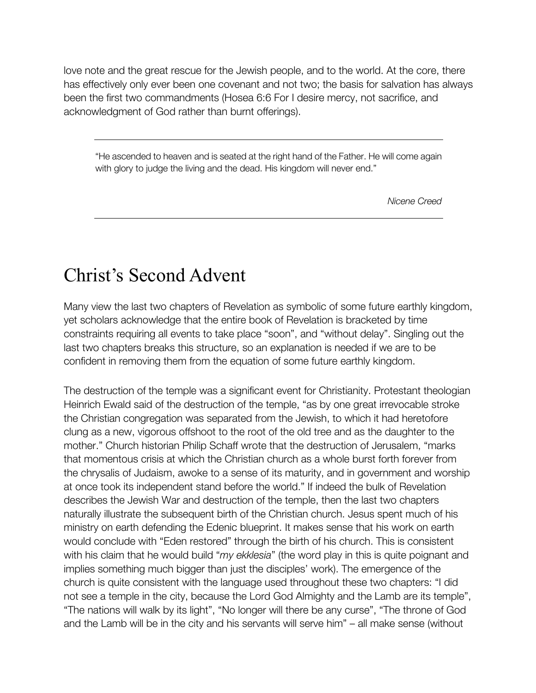love note and the great rescue for the Jewish people, and to the world. At the core, there has effectively only ever been one covenant and not two; the basis for salvation has always been the first two commandments (Hosea 6:6 For I desire mercy, not sacrifice, and acknowledgment of God rather than burnt offerings).

"He ascended to heaven and is seated at the right hand of the Father. He will come again with glory to judge the living and the dead. His kingdom will never end."

*Nicene Creed*

### Christ's Second Advent

Many view the last two chapters of Revelation as symbolic of some future earthly kingdom, yet scholars acknowledge that the entire book of Revelation is bracketed by time constraints requiring all events to take place "soon", and "without delay". Singling out the last two chapters breaks this structure, so an explanation is needed if we are to be confident in removing them from the equation of some future earthly kingdom.

The destruction of the temple was a significant event for Christianity. Protestant theologian Heinrich Ewald said of the destruction of the temple, "as by one great irrevocable stroke the Christian congregation was separated from the Jewish, to which it had heretofore clung as a new, vigorous offshoot to the root of the old tree and as the daughter to the mother." Church historian Philip Schaff wrote that the destruction of Jerusalem, "marks that momentous crisis at which the Christian church as a whole burst forth forever from the chrysalis of Judaism, awoke to a sense of its maturity, and in government and worship at once took its independent stand before the world." If indeed the bulk of Revelation describes the Jewish War and destruction of the temple, then the last two chapters naturally illustrate the subsequent birth of the Christian church. Jesus spent much of his ministry on earth defending the Edenic blueprint. It makes sense that his work on earth would conclude with "Eden restored" through the birth of his church. This is consistent with his claim that he would build "*my ekklesia*" (the word play in this is quite poignant and implies something much bigger than just the disciples' work). The emergence of the church is quite consistent with the language used throughout these two chapters: "I did not see a temple in the city, because the Lord God Almighty and the Lamb are its temple", "The nations will walk by its light", "No longer will there be any curse", "The throne of God and the Lamb will be in the city and his servants will serve him" – all make sense (without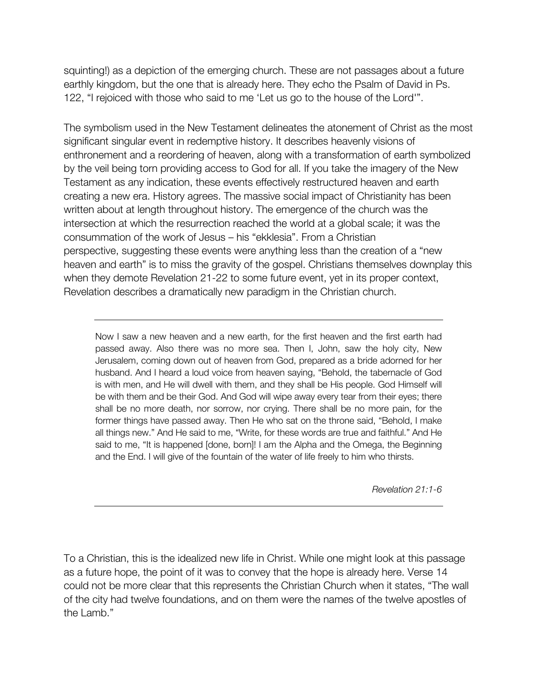squinting!) as a depiction of the emerging church. These are not passages about a future earthly kingdom, but the one that is already here. They echo the Psalm of David in Ps. 122, "I rejoiced with those who said to me 'Let us go to the house of the Lord'".

The symbolism used in the New Testament delineates the atonement of Christ as the most significant singular event in redemptive history. It describes heavenly visions of enthronement and a reordering of heaven, along with a transformation of earth symbolized by the veil being torn providing access to God for all. If you take the imagery of the New Testament as any indication, these events effectively restructured heaven and earth creating a new era. History agrees. The massive social impact of Christianity has been written about at length throughout history. The emergence of the church was the intersection at which the resurrection reached the world at a global scale; it was the consummation of the work of Jesus – his "ekklesia". From a Christian perspective, suggesting these events were anything less than the creation of a "new heaven and earth" is to miss the gravity of the gospel. Christians themselves downplay this when they demote Revelation 21-22 to some future event, yet in its proper context, Revelation describes a dramatically new paradigm in the Christian church.

Now I saw a new heaven and a new earth, for the first heaven and the first earth had passed away. Also there was no more sea. Then I, John, saw the holy city, New Jerusalem, coming down out of heaven from God, prepared as a bride adorned for her husband. And I heard a loud voice from heaven saying, "Behold, the tabernacle of God is with men, and He will dwell with them, and they shall be His people. God Himself will be with them and be their God. And God will wipe away every tear from their eyes; there shall be no more death, nor sorrow, nor crying. There shall be no more pain, for the former things have passed away. Then He who sat on the throne said, "Behold, I make all things new." And He said to me, "Write, for these words are true and faithful." And He said to me, "It is happened [done, born]! I am the Alpha and the Omega, the Beginning and the End. I will give of the fountain of the water of life freely to him who thirsts.

*Revelation 21:1-6*

To a Christian, this is the idealized new life in Christ. While one might look at this passage as a future hope, the point of it was to convey that the hope is already here. Verse 14 could not be more clear that this represents the Christian Church when it states, "The wall of the city had twelve foundations, and on them were the names of the twelve apostles of the Lamb."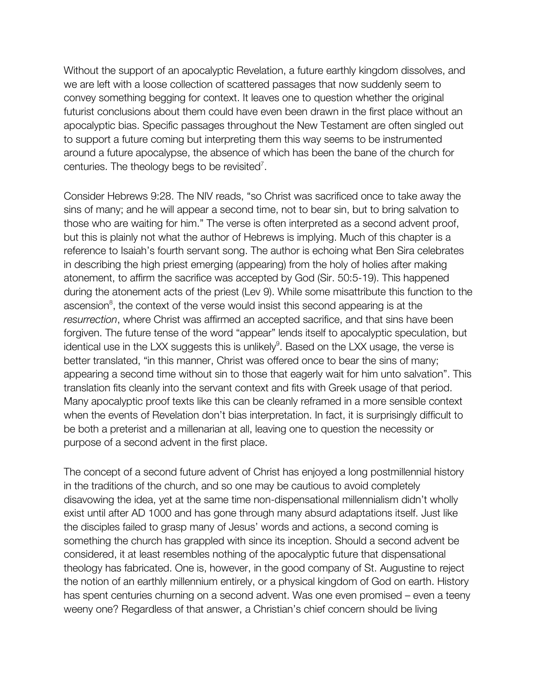Without the support of an apocalyptic Revelation, a future earthly kingdom dissolves, and we are left with a loose collection of scattered passages that now suddenly seem to convey something begging for context. It leaves one to question whether the original futurist conclusions about them could have even been drawn in the first place without an apocalyptic bias. Specific passages throughout the New Testament are often singled out to support a future coming but interpreting them this way seems to be instrumented around a future apocalypse, the absence of which has been the bane of the church for centuries. The theology begs to be revisited<sup>7</sup>.

Consider Hebrews 9:28. The NIV reads, "so Christ was sacrificed once to take away the sins of many; and he will appear a second time, not to bear sin, but to bring salvation to those who are waiting for him." The verse is often interpreted as a second advent proof, but this is plainly not what the author of Hebrews is implying. Much of this chapter is a reference to Isaiah's fourth servant song. The author is echoing what Ben Sira celebrates in describing the high priest emerging (appearing) from the holy of holies after making atonement, to affirm the sacrifice was accepted by God (Sir. 50:5-19). This happened during the atonement acts of the priest (Lev 9). While some misattribute this function to the ascension<sup>8</sup>, the context of the verse would insist this second appearing is at the *resurrection*, where Christ was affirmed an accepted sacrifice, and that sins have been forgiven. The future tense of the word "appear" lends itself to apocalyptic speculation, but identical use in the LXX suggests this is unlikely $9$ . Based on the LXX usage, the verse is better translated, "in this manner, Christ was offered once to bear the sins of many; appearing a second time without sin to those that eagerly wait for him unto salvation". This translation fits cleanly into the servant context and fits with Greek usage of that period. Many apocalyptic proof texts like this can be cleanly reframed in a more sensible context when the events of Revelation don't bias interpretation. In fact, it is surprisingly difficult to be both a preterist and a millenarian at all, leaving one to question the necessity or purpose of a second advent in the first place.

The concept of a second future advent of Christ has enjoyed a long postmillennial history in the traditions of the church, and so one may be cautious to avoid completely disavowing the idea, yet at the same time non-dispensational millennialism didn't wholly exist until after AD 1000 and has gone through many absurd adaptations itself. Just like the disciples failed to grasp many of Jesus' words and actions, a second coming is something the church has grappled with since its inception. Should a second advent be considered, it at least resembles nothing of the apocalyptic future that dispensational theology has fabricated. One is, however, in the good company of St. Augustine to reject the notion of an earthly millennium entirely, or a physical kingdom of God on earth. History has spent centuries churning on a second advent. Was one even promised – even a teeny weeny one? Regardless of that answer, a Christian's chief concern should be living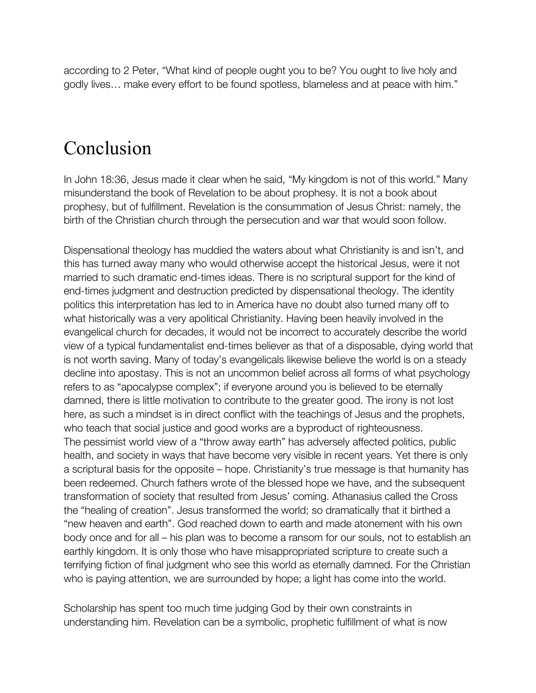according to 2 Peter, "What kind of people ought you to be? You ought to live holy and godly lives… make every effort to be found spotless, blameless and at peace with him."

#### Conclusion

In John 18:36, Jesus made it clear when he said, "My kingdom is not of this world." Many misunderstand the book of Revelation to be about prophesy. It is not a book about prophesy, but of fulfillment. Revelation is the consummation of Jesus Christ: namely, the birth of the Christian church through the persecution and war that would soon follow.

Dispensational theology has muddied the waters about what Christianity is and isn't, and this has turned away many who would otherwise accept the historical Jesus, were it not married to such dramatic end-times ideas. There is no scriptural support for the kind of end-times judgment and destruction predicted by dispensational theology. The identity politics this interpretation has led to in America have no doubt also turned many off to what historically was a very apolitical Christianity. Having been heavily involved in the evangelical church for decades, it would not be incorrect to accurately describe the world view of a typical fundamentalist end-times believer as that of a disposable, dying world that is not worth saving. Many of today's evangelicals likewise believe the world is on a steady decline into apostasy. This is not an uncommon belief across all forms of what psychology refers to as "apocalypse complex"; if everyone around you is believed to be eternally damned, there is little motivation to contribute to the greater good. The irony is not lost here, as such a mindset is in direct conflict with the teachings of Jesus and the prophets, who teach that social justice and good works are a byproduct of righteousness. The pessimist world view of a "throw away earth" has adversely affected politics, public health, and society in ways that have become very visible in recent years. Yet there is only a scriptural basis for the opposite – hope. Christianity's true message is that humanity has been redeemed. Church fathers wrote of the blessed hope we have, and the subsequent transformation of society that resulted from Jesus' coming. Athanasius called the Cross the "healing of creation". Jesus transformed the world; so dramatically that it birthed a "new heaven and earth". God reached down to earth and made atonement with his own body once and for all – his plan was to become a ransom for our souls, not to establish an earthly kingdom. It is only those who have misappropriated scripture to create such a terrifying fiction of final judgment who see this world as eternally damned. For the Christian who is paying attention, we are surrounded by hope; a light has come into the world.

Scholarship has spent too much time judging God by their own constraints in understanding him. Revelation can be a symbolic, prophetic fulfillment of what is now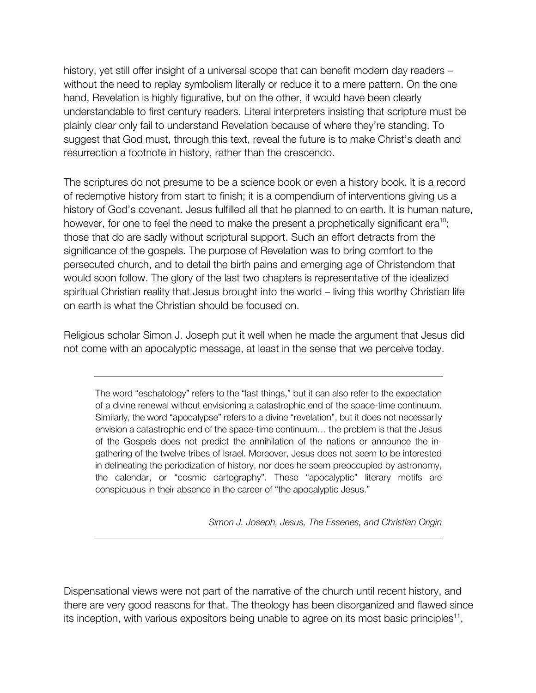history, yet still offer insight of a universal scope that can benefit modern day readers – without the need to replay symbolism literally or reduce it to a mere pattern. On the one hand, Revelation is highly figurative, but on the other, it would have been clearly understandable to first century readers. Literal interpreters insisting that scripture must be plainly clear only fail to understand Revelation because of where they're standing. To suggest that God must, through this text, reveal the future is to make Christ's death and resurrection a footnote in history, rather than the crescendo.

The scriptures do not presume to be a science book or even a history book. It is a record of redemptive history from start to finish; it is a compendium of interventions giving us a history of God's covenant. Jesus fulfilled all that he planned to on earth. It is human nature, however, for one to feel the need to make the present a prophetically significant  $era^{10}$ ; those that do are sadly without scriptural support. Such an effort detracts from the significance of the gospels. The purpose of Revelation was to bring comfort to the persecuted church, and to detail the birth pains and emerging age of Christendom that would soon follow. The glory of the last two chapters is representative of the idealized spiritual Christian reality that Jesus brought into the world – living this worthy Christian life on earth is what the Christian should be focused on.

Religious scholar Simon J. Joseph put it well when he made the argument that Jesus did not come with an apocalyptic message, at least in the sense that we perceive today.

The word "eschatology" refers to the "last things," but it can also refer to the expectation of a divine renewal without envisioning a catastrophic end of the space-time continuum. Similarly, the word "apocalypse" refers to a divine "revelation", but it does not necessarily envision a catastrophic end of the space-time continuum… the problem is that the Jesus of the Gospels does not predict the annihilation of the nations or announce the ingathering of the twelve tribes of Israel. Moreover, Jesus does not seem to be interested in delineating the periodization of history, nor does he seem preoccupied by astronomy, the calendar, or "cosmic cartography". These "apocalyptic" literary motifs are conspicuous in their absence in the career of "the apocalyptic Jesus."

*Simon J. Joseph, Jesus, The Essenes, and Christian Origin*

Dispensational views were not part of the narrative of the church until recent history, and there are very good reasons for that. The theology has been disorganized and flawed since its inception, with various expositors being unable to agree on its most basic principles<sup>11</sup>,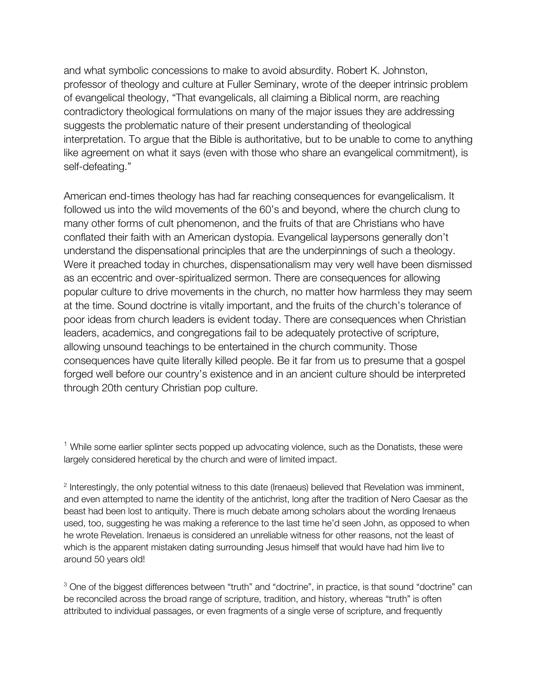and what symbolic concessions to make to avoid absurdity. Robert K. Johnston, professor of theology and culture at Fuller Seminary, wrote of the deeper intrinsic problem of evangelical theology, "That evangelicals, all claiming a Biblical norm, are reaching contradictory theological formulations on many of the major issues they are addressing suggests the problematic nature of their present understanding of theological interpretation. To argue that the Bible is authoritative, but to be unable to come to anything like agreement on what it says (even with those who share an evangelical commitment), is self-defeating."

American end-times theology has had far reaching consequences for evangelicalism. It followed us into the wild movements of the 60's and beyond, where the church clung to many other forms of cult phenomenon, and the fruits of that are Christians who have conflated their faith with an American dystopia. Evangelical laypersons generally don't understand the dispensational principles that are the underpinnings of such a theology. Were it preached today in churches, dispensationalism may very well have been dismissed as an eccentric and over-spiritualized sermon. There are consequences for allowing popular culture to drive movements in the church, no matter how harmless they may seem at the time. Sound doctrine is vitally important, and the fruits of the church's tolerance of poor ideas from church leaders is evident today. There are consequences when Christian leaders, academics, and congregations fail to be adequately protective of scripture, allowing unsound teachings to be entertained in the church community. Those consequences have quite literally killed people. Be it far from us to presume that a gospel forged well before our country's existence and in an ancient culture should be interpreted through 20th century Christian pop culture.

 $1$  While some earlier splinter sects popped up advocating violence, such as the Donatists, these were largely considered heretical by the church and were of limited impact.

<sup>2</sup> Interestingly, the only potential witness to this date (Irenaeus) believed that Revelation was imminent, and even attempted to name the identity of the antichrist, long after the tradition of Nero Caesar as the beast had been lost to antiquity. There is much debate among scholars about the wording Irenaeus used, too, suggesting he was making a reference to the last time he'd seen John, as opposed to when he wrote Revelation. Irenaeus is considered an unreliable witness for other reasons, not the least of which is the apparent mistaken dating surrounding Jesus himself that would have had him live to around 50 years old!

<sup>3</sup> One of the biggest differences between "truth" and "doctrine", in practice, is that sound "doctrine" can be reconciled across the broad range of scripture, tradition, and history, whereas "truth" is often attributed to individual passages, or even fragments of a single verse of scripture, and frequently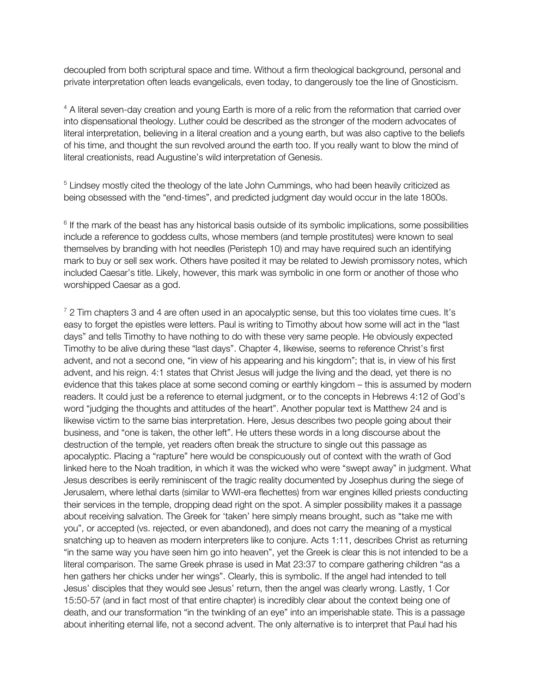decoupled from both scriptural space and time. Without a firm theological background, personal and private interpretation often leads evangelicals, even today, to dangerously toe the line of Gnosticism.

<sup>4</sup> A literal seven-day creation and young Earth is more of a relic from the reformation that carried over into dispensational theology. Luther could be described as the stronger of the modern advocates of literal interpretation, believing in a literal creation and a young earth, but was also captive to the beliefs of his time, and thought the sun revolved around the earth too. If you really want to blow the mind of literal creationists, read Augustine's wild interpretation of Genesis.

<sup>5</sup> Lindsey mostly cited the theology of the late John Cummings, who had been heavily criticized as being obsessed with the "end-times", and predicted judgment day would occur in the late 1800s.

<sup>6</sup> If the mark of the beast has any historical basis outside of its symbolic implications, some possibilities include a reference to goddess cults, whose members (and temple prostitutes) were known to seal themselves by branding with hot needles (Peristeph 10) and may have required such an identifying mark to buy or sell sex work. Others have posited it may be related to Jewish promissory notes, which included Caesar's title. Likely, however, this mark was symbolic in one form or another of those who worshipped Caesar as a god.

 $7$  2 Tim chapters 3 and 4 are often used in an apocalyptic sense, but this too violates time cues. It's easy to forget the epistles were letters. Paul is writing to Timothy about how some will act in the "last days" and tells Timothy to have nothing to do with these very same people. He obviously expected Timothy to be alive during these "last days". Chapter 4, likewise, seems to reference Christ's first advent, and not a second one, "in view of his appearing and his kingdom"; that is, in view of his first advent, and his reign. 4:1 states that Christ Jesus will judge the living and the dead, yet there is no evidence that this takes place at some second coming or earthly kingdom – this is assumed by modern readers. It could just be a reference to eternal judgment, or to the concepts in Hebrews 4:12 of God's word "judging the thoughts and attitudes of the heart". Another popular text is Matthew 24 and is likewise victim to the same bias interpretation. Here, Jesus describes two people going about their business, and "one is taken, the other left". He utters these words in a long discourse about the destruction of the temple, yet readers often break the structure to single out this passage as apocalyptic. Placing a "rapture" here would be conspicuously out of context with the wrath of God linked here to the Noah tradition, in which it was the wicked who were "swept away" in judgment. What Jesus describes is eerily reminiscent of the tragic reality documented by Josephus during the siege of Jerusalem, where lethal darts (similar to WWI-era flechettes) from war engines killed priests conducting their services in the temple, dropping dead right on the spot. A simpler possibility makes it a passage about receiving salvation. The Greek for 'taken' here simply means brought, such as "take me with you", or accepted (vs. rejected, or even abandoned), and does not carry the meaning of a mystical snatching up to heaven as modern interpreters like to conjure. Acts 1:11, describes Christ as returning "in the same way you have seen him go into heaven", yet the Greek is clear this is not intended to be a literal comparison. The same Greek phrase is used in Mat 23:37 to compare gathering children "as a hen gathers her chicks under her wings". Clearly, this is symbolic. If the angel had intended to tell Jesus' disciples that they would see Jesus' return, then the angel was clearly wrong. Lastly, 1 Cor 15:50-57 (and in fact most of that entire chapter) is incredibly clear about the context being one of death, and our transformation "in the twinkling of an eye" into an imperishable state. This is a passage about inheriting eternal life, not a second advent. The only alternative is to interpret that Paul had his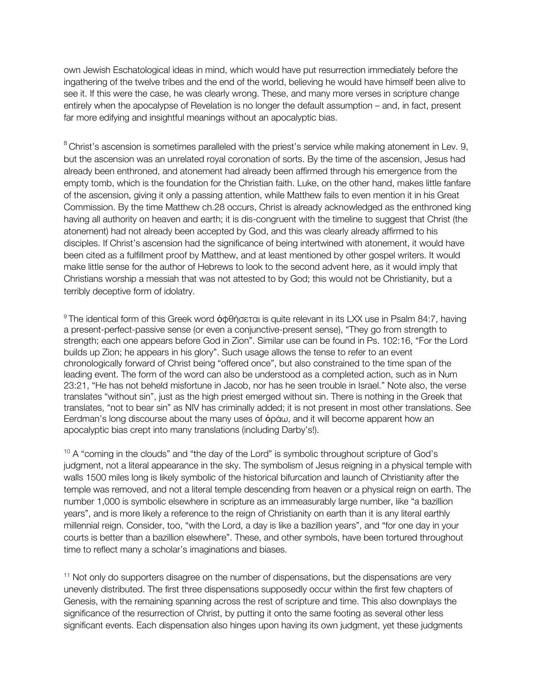own Jewish Eschatological ideas in mind, which would have put resurrection immediately before the ingathering of the twelve tribes and the end of the world, believing he would have himself been alive to see it. If this were the case, he was clearly wrong. These, and many more verses in scripture change entirely when the apocalypse of Revelation is no longer the default assumption – and, in fact, present far more edifying and insightful meanings without an apocalyptic bias.

 $8$  Christ's ascension is sometimes paralleled with the priest's service while making atonement in Lev. 9, but the ascension was an unrelated royal coronation of sorts. By the time of the ascension, Jesus had already been enthroned, and atonement had already been affirmed through his emergence from the empty tomb, which is the foundation for the Christian faith. Luke, on the other hand, makes little fanfare of the ascension, giving it only a passing attention, while Matthew fails to even mention it in his Great Commission. By the time Matthew ch.28 occurs, Christ is already acknowledged as the enthroned king having all authority on heaven and earth; it is dis-congruent with the timeline to suggest that Christ (the atonement) had not already been accepted by God, and this was clearly already affirmed to his disciples. If Christ's ascension had the significance of being intertwined with atonement, it would have been cited as a fulfillment proof by Matthew, and at least mentioned by other gospel writers. It would make little sense for the author of Hebrews to look to the second advent here, as it would imply that Christians worship a messiah that was not attested to by God; this would not be Christianity, but a terribly deceptive form of idolatry.

9 The identical form of this Greek word ὀφθήσεται is quite relevant in its LXX use in Psalm 84:7, having a present-perfect-passive sense (or even a conjunctive-present sense), "They go from strength to strength; each one appears before God in Zion". Similar use can be found in Ps. 102:16, "For the Lord builds up Zion; he appears in his glory". Such usage allows the tense to refer to an event chronologically forward of Christ being "offered once", but also constrained to the time span of the leading event. The form of the word can also be understood as a completed action, such as in Num 23:21, "He has not beheld misfortune in Jacob, nor has he seen trouble in Israel." Note also, the verse translates "without sin", just as the high priest emerged without sin. There is nothing in the Greek that translates, "not to bear sin" as NIV has criminally added; it is not present in most other translations. See Eerdman's long discourse about the many uses of ὁράω, and it will become apparent how an apocalyptic bias crept into many translations (including Darby's!).

<sup>10</sup> A "coming in the clouds" and "the day of the Lord" is symbolic throughout scripture of God's judgment, not a literal appearance in the sky. The symbolism of Jesus reigning in a physical temple with walls 1500 miles long is likely symbolic of the historical bifurcation and launch of Christianity after the temple was removed, and not a literal temple descending from heaven or a physical reign on earth. The number 1,000 is symbolic elsewhere in scripture as an immeasurably large number, like "a bazillion years", and is more likely a reference to the reign of Christianity on earth than it is any literal earthly millennial reign. Consider, too, "with the Lord, a day is like a bazillion years", and "for one day in your courts is better than a bazillion elsewhere". These, and other symbols, have been tortured throughout time to reflect many a scholar's imaginations and biases.

<sup>11</sup> Not only do supporters disagree on the number of dispensations, but the dispensations are very unevenly distributed. The first three dispensations supposedly occur within the first few chapters of Genesis, with the remaining spanning across the rest of scripture and time. This also downplays the significance of the resurrection of Christ, by putting it onto the same footing as several other less significant events. Each dispensation also hinges upon having its own judgment, yet these judgments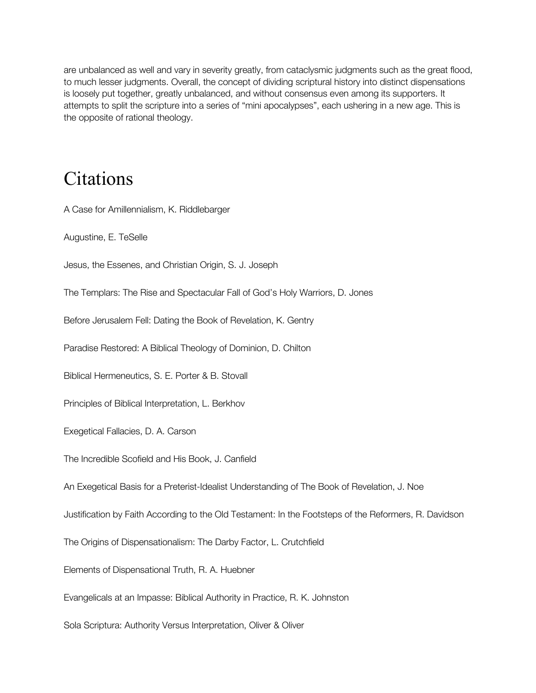are unbalanced as well and vary in severity greatly, from cataclysmic judgments such as the great flood, to much lesser judgments. Overall, the concept of dividing scriptural history into distinct dispensations is loosely put together, greatly unbalanced, and without consensus even among its supporters. It attempts to split the scripture into a series of "mini apocalypses", each ushering in a new age. This is the opposite of rational theology.

#### **Citations**

A Case for Amillennialism, K. Riddlebarger

Augustine, E. TeSelle

Jesus, the Essenes, and Christian Origin, S. J. Joseph

The Templars: The Rise and Spectacular Fall of God's Holy Warriors, D. Jones

Before Jerusalem Fell: Dating the Book of Revelation, K. Gentry

Paradise Restored: A Biblical Theology of Dominion, D. Chilton

Biblical Hermeneutics, S. E. Porter & B. Stovall

Principles of Biblical Interpretation, L. Berkhov

Exegetical Fallacies, D. A. Carson

The Incredible Scofield and His Book, J. Canfield

An Exegetical Basis for a Preterist-Idealist Understanding of The Book of Revelation, J. Noe

Justification by Faith According to the Old Testament: In the Footsteps of the Reformers, R. Davidson

The Origins of Dispensationalism: The Darby Factor, L. Crutchfield

Elements of Dispensational Truth, R. A. Huebner

Evangelicals at an Impasse: Biblical Authority in Practice, R. K. Johnston

Sola Scriptura: Authority Versus Interpretation, Oliver & Oliver